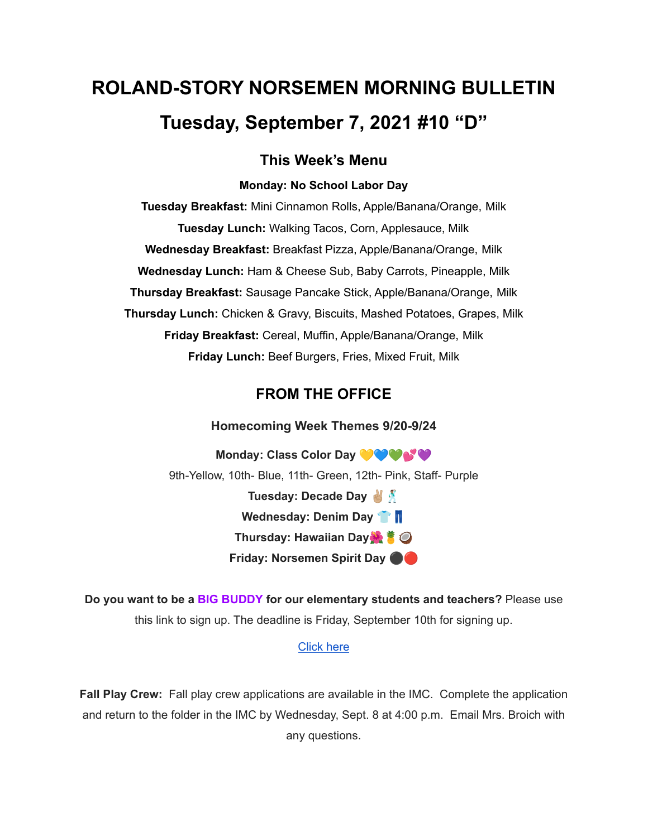# **ROLAND-STORY NORSEMEN MORNING BULLETIN Tuesday, September 7, 2021 #10 "D"**

### **This Week's Menu**

#### **Monday: No School Labor Day**

**Tuesday Breakfast:** Mini Cinnamon Rolls, Apple/Banana/Orange, Milk **Tuesday Lunch:** Walking Tacos, Corn, Applesauce, Milk **Wednesday Breakfast:** Breakfast Pizza, Apple/Banana/Orange, Milk **Wednesday Lunch:** Ham & Cheese Sub, Baby Carrots, Pineapple, Milk **Thursday Breakfast:** Sausage Pancake Stick, Apple/Banana/Orange, Milk **Thursday Lunch:** Chicken & Gravy, Biscuits, Mashed Potatoes, Grapes, Milk **Friday Breakfast:** Cereal, Muffin, Apple/Banana/Orange, Milk **Friday Lunch:** Beef Burgers, Fries, Mixed Fruit, Milk

## **FROM THE OFFICE**

**Homecoming Week Themes 9/20-9/24**

**Monday: Class Color Day** 9th-Yellow, 10th- Blue, 11th- Green, 12th- Pink, Staff- Purple **Tuesday: Decade Day Wednesday: Denim Day Thursday: Hawaiian Day Friday: Norsemen Spirit Day** ⚫️

**Do you want to be a BIG BUDDY for our elementary students and teachers?** Please use this link to sign up. The deadline is Friday, September 10th for signing up.

#### [Click](https://docs.google.com/forms/d/e/1FAIpQLSdnBOSS22yKxjrGxKALRfMidQdbVCa4CbkF2FpWLlV-1YgPew/viewform?usp=sf_) here

**Fall Play Crew:** Fall play crew applications are available in the IMC. Complete the application and return to the folder in the IMC by Wednesday, Sept. 8 at 4:00 p.m. Email Mrs. Broich with any questions.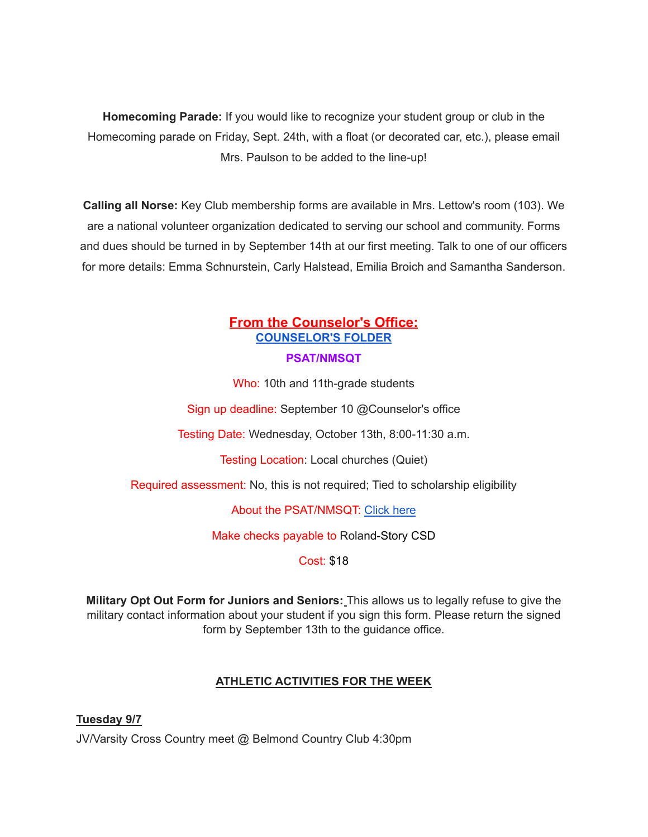**Homecoming Parade:** If you would like to recognize your student group or club in the Homecoming parade on Friday, Sept. 24th, with a float (or decorated car, etc.), please email Mrs. Paulson to be added to the line-up!

**Calling all Norse:** Key Club membership forms are available in Mrs. Lettow's room (103). We are a national volunteer organization dedicated to serving our school and community. Forms and dues should be turned in by September 14th at our first meeting. Talk to one of our officers for more details: Emma Schnurstein, Carly Halstead, Emilia Broich and Samantha Sanderson.

## **From the Counselor's Office: [COUNSELOR'S](https://docs.google.com/document/d/1vmwczNPbDzXe9vFaG5LJMQ7NYDv-i4oQJHybqA65TUc/edit?usp=sharing) FOLDER**

#### **PSAT/NMSQT**

Who: 10th and 11th-grade students

Sign up deadline: September 10 @Counselor's office

Testing Date: Wednesday, October 13th, 8:00-11:30 a.m.

Testing Location: Local churches (Quiet)

Required assessment: No, this is not required; Tied to scholarship eligibility

About the PSAT/NMSQT: [Click](https://collegereadiness.collegeboard.org/psat-nmsqt-psat-10/inside-the-test) here

Make checks payable to Roland-Story CSD

Cost: \$18

**Military Opt Out Form for Juniors and Seniors:** This allows us to legally refuse to give the military contact information about your student if you sign this form. Please return the signed form by September 13th to the guidance office.

#### **ATHLETIC ACTIVITIES FOR THE WEEK**

**Tuesday 9/7** JV/Varsity Cross Country meet @ Belmond Country Club 4:30pm